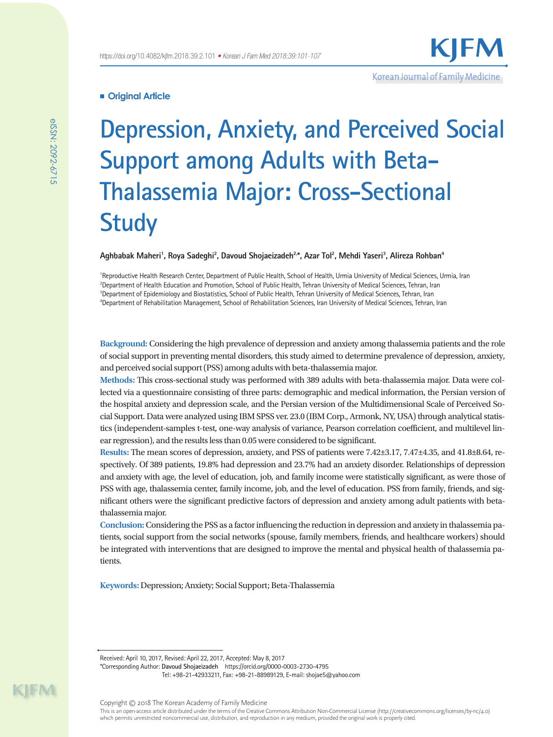## **Original Article**

# **Depression, Anxiety, and Perceived Social Support among Adults with Beta-Thalassemia Major: Cross-Sectional Study**

**Aghbabak Maheri1 , Roya Sadeghi2 , Davoud Shojaeizadeh2,\*, Azar Tol2 , Mehdi Yaseri3 , Alireza Rohban4**

<sup>1</sup>Reproductive Health Research Center, Department of Public Health, School of Health, Urmia University of Medical Sciences, Urmia, Iran Department of Health Education and Promotion, School of Public Health, Tehran University of Medical Sciences, Tehran, Iran Department of Epidemiology and Biostatistics, School of Public Health, Tehran University of Medical Sciences, Tehran, Iran Department of Rehabilitation Management, School of Rehabilitation Sciences, Iran University of Medical Sciences, Tehran, Iran

**Background:** Considering the high prevalence of depression and anxiety among thalassemia patients and the role of social support in preventing mental disorders, this study aimed to determine prevalence of depression, anxiety, and perceived social support (PSS) among adults with beta-thalassemia major.

**Methods:** This cross-sectional study was performed with 389 adults with beta-thalassemia major. Data were collected via a questionnaire consisting of three parts: demographic and medical information, the Persian version of the hospital anxiety and depression scale, and the Persian version of the Multidimensional Scale of Perceived Social Support. Data were analyzed using IBM SPSS ver. 23.0 (IBM Corp., Armonk, NY, USA) through analytical statistics (independent-samples t-test, one-way analysis of variance, Pearson correlation coefficient, and multilevel linear regression), and the results less than 0.05 were considered to be significant.

**Results:** The mean scores of depression, anxiety, and PSS of patients were 7.42±3.17, 7.47±4.35, and 41.8±8.64, respectively. Of 389 patients, 19.8% had depression and 23.7% had an anxiety disorder. Relationships of depression and anxiety with age, the level of education, job, and family income were statistically significant, as were those of PSS with age, thalassemia center, family income, job, and the level of education. PSS from family, friends, and significant others were the significant predictive factors of depression and anxiety among adult patients with betathalassemia major.

**Conclusion:** Considering the PSS as a factor influencing the reduction in depression and anxiety in thalassemia patients, social support from the social networks (spouse, family members, friends, and healthcare workers) should be integrated with interventions that are designed to improve the mental and physical health of thalassemia patients.

**Keywords:** Depression; Anxiety; Social Support; Beta-Thalassemia

eISSN: 2092-6715

Received: April 10, 2017, Revised: April 22, 2017, Accepted: May 8, 2017

<sup>\*</sup>Corresponding Author: **Davoud Shojaeizadeh** https://orcid.org/0000-0003-2730-4795

Tel: +98-21-42933211, Fax: +98-21-88989129, E-mail: shojae5@yahoo.com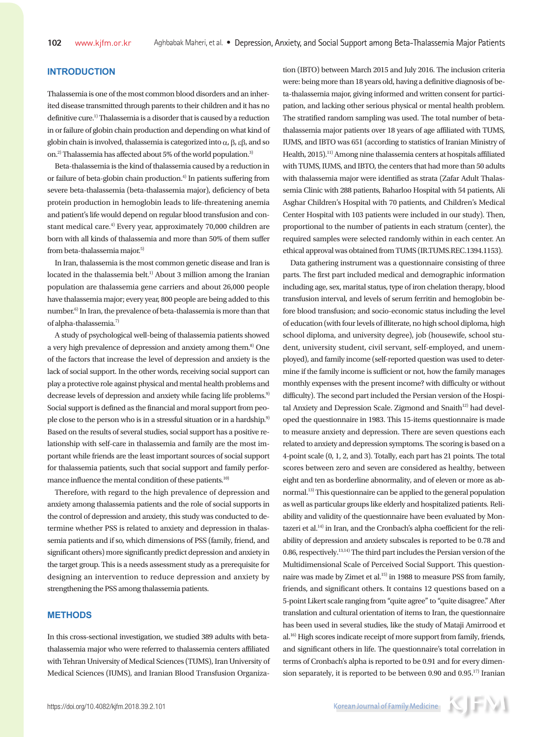# **INTRODUCTION**

Thalassemia is one of the most common blood disorders and an inherited disease transmitted through parents to their children and it has no definitive cure.1) Thalassemia is a disorder that is caused by a reduction in or failure of globin chain production and depending on what kind of globin chain is involved, thalassemia is categorized into  $\alpha$ ,  $\beta$ ,  $\epsilon\beta$ , and so on.<sup>2)</sup> Thalassemia has affected about 5% of the world population.<sup>3)</sup>

Beta-thalassemia is the kind of thalassemia caused by a reduction in or failure of beta-globin chain production.<sup>4)</sup> In patients suffering from severe beta-thalassemia (beta-thalassemia major), deficiency of beta protein production in hemoglobin leads to life-threatening anemia and patient's life would depend on regular blood transfusion and constant medical care.4) Every year, approximately 70,000 children are born with all kinds of thalassemia and more than 50% of them suffer from beta-thalassemia major.<sup>5)</sup>

In Iran, thalassemia is the most common genetic disease and Iran is located in the thalassemia belt.<sup>1)</sup> About 3 million among the Iranian population are thalassemia gene carriers and about 26,000 people have thalassemia major; every year, 800 people are being added to this number.6) In Iran, the prevalence of beta-thalassemia is more than that of alpha-thalassemia.<sup>7)</sup>

A study of psychological well-being of thalassemia patients showed a very high prevalence of depression and anxiety among them.<sup>8)</sup> One of the factors that increase the level of depression and anxiety is the lack of social support. In the other words, receiving social support can play a protective role against physical and mental health problems and decrease levels of depression and anxiety while facing life problems.<sup>9)</sup> Social support is defined as the financial and moral support from people close to the person who is in a stressful situation or in a hardship.9) Based on the results of several studies, social support has a positive relationship with self-care in thalassemia and family are the most important while friends are the least important sources of social support for thalassemia patients, such that social support and family performance influence the mental condition of these patients.<sup>10)</sup>

Therefore, with regard to the high prevalence of depression and anxiety among thalassemia patients and the role of social supports in the control of depression and anxiety, this study was conducted to determine whether PSS is related to anxiety and depression in thalassemia patients and if so, which dimensions of PSS (family, friend, and significant others) more significantly predict depression and anxiety in the target group. This is a needs assessment study as a prerequisite for designing an intervention to reduce depression and anxiety by strengthening the PSS among thalassemia patients.

## **METHODS**

In this cross-sectional investigation, we studied 389 adults with betathalassemia major who were referred to thalassemia centers affiliated with Tehran University of Medical Sciences (TUMS), Iran University of Medical Sciences (IUMS), and Iranian Blood Transfusion Organization (IBTO) between March 2015 and July 2016. The inclusion criteria were: being more than 18 years old, having a definitive diagnosis of beta-thalassemia major, giving informed and written consent for participation, and lacking other serious physical or mental health problem. The stratified random sampling was used. The total number of betathalassemia major patients over 18 years of age affiliated with TUMS, IUMS, and IBTO was 651 (according to statistics of Iranian Ministry of Health, 2015).11) Among nine thalassemia centers at hospitals affiliated with TUMS, IUMS, and IBTO, the centers that had more than 50 adults with thalassemia major were identified as strata (Zafar Adult Thalassemia Clinic with 288 patients, Baharloo Hospital with 54 patients, Ali Asghar Children's Hospital with 70 patients, and Children's Medical Center Hospital with 103 patients were included in our study). Then, proportional to the number of patients in each stratum (center), the required samples were selected randomly within in each center. An ethical approval was obtained from TUMS (IR.TUMS.REC.1394.1153).

Data gathering instrument was a questionnaire consisting of three parts. The first part included medical and demographic information including age, sex, marital status, type of iron chelation therapy, blood transfusion interval, and levels of serum ferritin and hemoglobin before blood transfusion; and socio-economic status including the level of education (with four levels of illiterate, no high school diploma, high school diploma, and university degree), job (housewife, school student, university student, civil servant, self-employed, and unemployed), and family income (self-reported question was used to determine if the family income is sufficient or not, how the family manages monthly expenses with the present income? with difficulty or without difficulty). The second part included the Persian version of the Hospital Anxiety and Depression Scale. Zigmond and Snaith<sup>12)</sup> had developed the questionnaire in 1983. This 15-items questionnaire is made to measure anxiety and depression. There are seven questions each related to anxiety and depression symptoms. The scoring is based on a 4-point scale (0, 1, 2, and 3). Totally, each part has 21 points. The total scores between zero and seven are considered as healthy, between eight and ten as borderline abnormality, and of eleven or more as abnormal.13) This questionnaire can be applied to the general population as well as particular groups like elderly and hospitalized patients. Reliability and validity of the questionnaire have been evaluated by Montazeri et al.<sup>14)</sup> in Iran, and the Cronbach's alpha coefficient for the reliability of depression and anxiety subscales is reported to be 0.78 and 0.86, respectively.13,14) The third part includes the Persian version of the Multidimensional Scale of Perceived Social Support. This questionnaire was made by Zimet et al.<sup>15)</sup> in 1988 to measure PSS from family, friends, and significant others. It contains 12 questions based on a 5-point Likert scale ranging from "quite agree" to "quite disagree." After translation and cultural orientation of items to Iran, the questionnaire has been used in several studies, like the study of Mataji Amirrood et al.16) High scores indicate receipt of more support from family, friends, and significant others in life. The questionnaire's total correlation in terms of Cronbach's alpha is reported to be 0.91 and for every dimension separately, it is reported to be between 0.90 and  $0.95$ .<sup>17)</sup> Iranian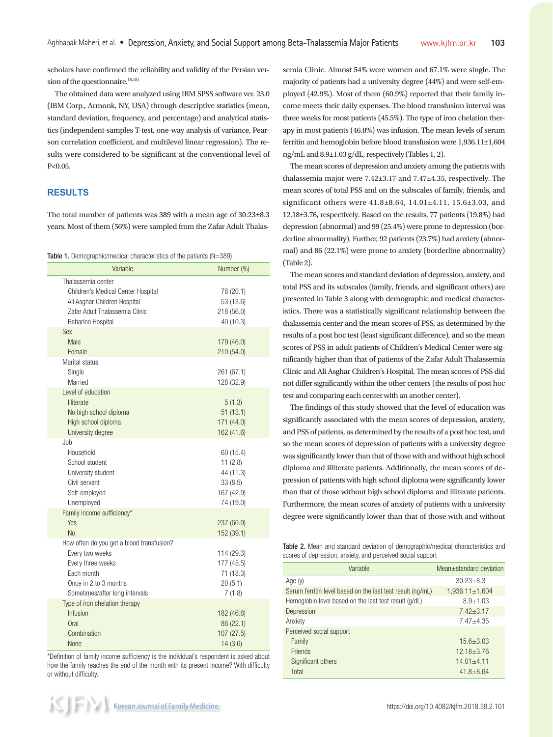scholars have confirmed the reliability and validity of the Persian version of the questionnaire. $16,18)$ 

The obtained data were analyzed using IBM SPSS software ver. 23.0 (IBM Corp., Armonk, NY, USA) through descriptive statistics (mean, standard deviation, frequency, and percentage) and analytical statistics (independent-samples T-test, one-way analysis of variance, Pearson correlation coefficient, and multilevel linear regression). The results were considered to be significant at the conventional level of P<0.05.

# **RESULTS**

The total number of patients was 389 with a mean age of 30.23±8.3 years. Most of them (56%) were sampled from the Zafar Adult Thalas-

| Table 1. Demographic/medical characteristics of the patients (N=389) |  |  |
|----------------------------------------------------------------------|--|--|
|----------------------------------------------------------------------|--|--|

| Variable                                                                                                                                                   | Number (%)                                                              |
|------------------------------------------------------------------------------------------------------------------------------------------------------------|-------------------------------------------------------------------------|
| Thalassemia center<br>Children's Medical Center Hospital<br>Ali Asghar Children Hospital<br>Zafar Adult Thalassemia Clinic<br>Baharloo Hospital            | 78 (20.1)<br>53 (13.6)<br>218 (56.0)<br>40 (10.3)                       |
| <b>Sex</b><br>Male<br>Female                                                                                                                               | 179 (46.0)<br>210 (54.0)                                                |
| Marital status<br>Single<br>Married                                                                                                                        | 261 (67.1)<br>128 (32.9)                                                |
| Level of education<br><b>Illiterate</b><br>No high school diploma<br>High school diploma<br>University degree                                              | 5(1.3)<br>51(13.1)<br>171 (44.0)<br>162 (41.6)                          |
| Job.<br>Household<br>School student<br>University student<br>Civil servant<br>Self-employed<br>Unemployed                                                  | 60 (15.4)<br>11(2.8)<br>44 (11.3)<br>33(8.5)<br>167 (42.9)<br>74 (19.0) |
| Family income sufficiency*<br>Yes<br>No                                                                                                                    | 237 (60.9)<br>152 (39.1)                                                |
| How often do you get a blood transfusion?<br>Every two weeks<br>Every three weeks<br>Each month<br>Once in 2 to 3 months<br>Sometimes/after long intervals | 114 (29.3)<br>177 (45.5)<br>71 (18.3)<br>20(5.1)<br>7(1.8)              |
| Type of iron chelation therapy<br>Infusion<br>Oral<br>Combination<br>None                                                                                  | 182 (46.8)<br>86 (22.1)<br>107 (27.5)<br>14(3.6)                        |

\*Definition of family income sufficiency is the individual's respondent is asked about how the family reaches the end of the month with its present income? With difficulty or without difficulty.

semia Clinic. Almost 54% were women and 67.1% were single. The majority of patients had a university degree (44%) and were self-employed (42.9%). Most of them (60.9%) reported that their family income meets their daily expenses. The blood transfusion interval was three weeks for most patients (45.5%). The type of iron chelation therapy in most patients (46.8%) was infusion. The mean levels of serum ferritin and hemoglobin before blood transfusion were 1,936.11±1,604 ng/mL and 8.9±1.03 g/dL, respectively (Tables 1, 2).

The mean scores of depression and anxiety among the patients with thalassemia major were 7.42±3.17 and 7.47±4.35, respectively. The mean scores of total PSS and on the subscales of family, friends, and significant others were 41.8±8.64, 14.01±4.11, 15.6±3.03, and 12.18±3.76, respectively. Based on the results, 77 patients (19.8%) had depression (abnormal) and 99 (25.4%) were prone to depression (borderline abnormality). Further, 92 patients (23.7%) had anxiety (abnormal) and 86 (22.1%) were prone to anxiety (borderline abnormality) (Table 2).

The mean scores and standard deviation of depression, anxiety, and total PSS and its subscales (family, friends, and significant others) are presented in Table 3 along with demographic and medical characteristics. There was a statistically significant relationship between the thalassemia center and the mean scores of PSS, as determined by the results of a post hoc test (least significant difference), and so the mean scores of PSS in adult patients of Children's Medical Center were significantly higher than that of patients of the Zafar Adult Thalassemia Clinic and Ali Asghar Children's Hospital. The mean scores of PSS did not differ significantly within the other centers (the results of post hoc test and comparing each center with an another center).

The findings of this study showed that the level of education was significantly associated with the mean scores of depression, anxiety, and PSS of patients, as determined by the results of a post hoc test, and so the mean scores of depression of patients with a university degree was significantly lower than that of those with and without high school diploma and illiterate patients. Additionally, the mean scores of depression of patients with high school diploma were significantly lower than that of those without high school diploma and illiterate patients. Furthermore, the mean scores of anxiety of patients with a university degree were significantly lower than that of those with and without

Table 2. Mean and standard deviation of demographic/medical characteristics and scores of depression, anxiety, and perceived social support

| Variable                                                   | Mean+standard deviation |
|------------------------------------------------------------|-------------------------|
| Age $(y)$                                                  | $30.23 + 8.3$           |
| Serum ferritin level based on the last test result (ng/mL) | $1,936.11 \pm 1,604$    |
| Hemoglobin level based on the last test result (g/dL)      | $8.9 + 1.03$            |
| Depression                                                 | $7.42 + 3.17$           |
| Anxiety                                                    | $7.47 + 4.35$           |
| Perceived social support                                   |                         |
| Family                                                     | $15.6 + 3.03$           |
| <b>Friends</b>                                             | $12.18 + 3.76$          |
| Significant others                                         | $14.01 + 4.11$          |
| Total                                                      | $41.8 + 8.64$           |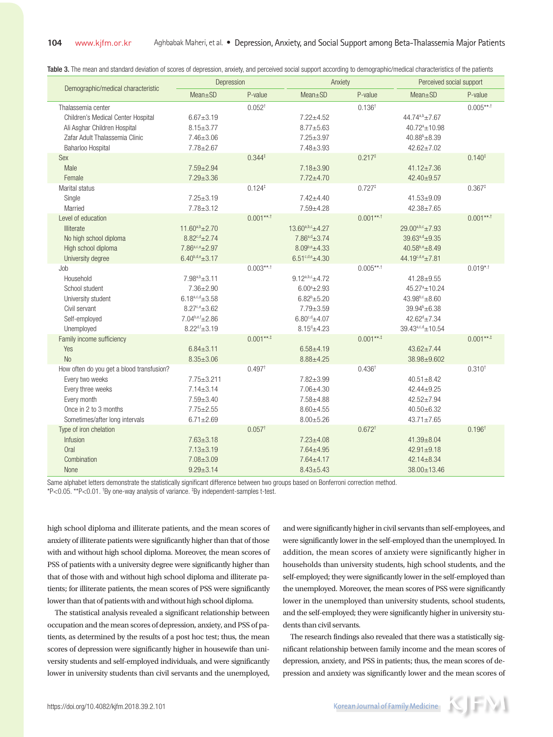Table 3. The mean and standard deviation of scores of depression, anxiety, and perceived social support according to demographic/medical characteristics of the patients

| Depression                                                                                                                                                  |                                                                                                                                         |                                         | Anxiety                                                                                                                     |                                   | Perceived social support                                                                                                                   |                          |
|-------------------------------------------------------------------------------------------------------------------------------------------------------------|-----------------------------------------------------------------------------------------------------------------------------------------|-----------------------------------------|-----------------------------------------------------------------------------------------------------------------------------|-----------------------------------|--------------------------------------------------------------------------------------------------------------------------------------------|--------------------------|
| Demographic/medical characteristic                                                                                                                          | $Mean \pm SD$                                                                                                                           | P-value                                 | $Mean \pm SD$                                                                                                               | P-value                           | $Mean \pm SD$                                                                                                                              | P-value                  |
| Thalassemia center<br>Children's Medical Center Hospital<br>Ali Asghar Children Hospital<br>Zafar Adult Thalassemia Clinic<br>Baharloo Hospital             | $6.67 + 3.19$<br>$8.15 \pm 3.77$<br>$7.46 \pm 3.06$<br>$7.78 \pm 2.67$                                                                  | $0.052^{+}$                             | $7.22 + 4.52$<br>$8.77 + 5.63$<br>$7.25 \pm 3.97$<br>7.48±3.93                                                              | 0.136 <sup>†</sup>                | 44.74a,b <sub>±7.67</sub><br>$40.72^a \pm 10.98$<br>$40.88^{\circ}$ ±8.39<br>$42.62 \pm 7.02$                                              | $0.005***$ <sup>+*</sup> |
| Sex<br>Male<br>Female                                                                                                                                       | $7.59 \pm 2.94$<br>$7.29 \pm 3.36$                                                                                                      | $0.344*$                                | $7.18 \pm 3.90$<br>$7.72 + 4.70$                                                                                            | 0.217 <sup>‡</sup>                | $41.12 \pm 7.36$<br>$42.40 \pm 9.57$                                                                                                       | 0.140 <sup>‡</sup>       |
| Marital status<br>Single<br>Married                                                                                                                         | $7.25 \pm 3.19$<br>$7.78 \pm 3.12$                                                                                                      | $0.124$ <sup><math>\dagger</math></sup> | $7.42{\pm}4.40$<br>7.59±4.28                                                                                                | $0.727$ <sup><math>+</math></sup> | $41.53 + 9.09$<br>$42.38 + 7.65$                                                                                                           | $0.367^{\ddagger}$       |
| Level of education<br>Illiterate<br>No high school diploma<br>High school diploma<br>University degree                                                      | $11.60^{a,b} \pm 2.70$<br>$8.82^{c,d} \pm 2.74$<br>$7.86^{a,c,e}$ ±2.97<br>$6.40^{b,d,e}$ ±3.17                                         | $0.001***$ <sup>+*</sup>                | $13.60^{a,b,c}$ ±4.27<br>$7.86^{a,d} \pm 3.74$<br>$8.09^{b,e}$ ±4.33<br>$6.51^{c,d,e}$ ±4.30                                | $0.001***$                        | $29.00^{a,b,c}$ ±7.93<br>$39.63^{a,d} \pm 9.35$<br>$40.58^{b,e}$ ±8.49<br>$44.19^{c,d,e} \pm 7.81$                                         | $0.001***$               |
| Job<br>Household<br>School student<br>University student<br>Civil servant<br>Self-employed<br>Unemployed                                                    | $7.98^{a,b} \pm 3.11$<br>$7.36 \pm 2.90$<br>$6.18^{a,c,d}$ ±3.58<br>$8.27^{c,e}$ ±3.62<br>$7.04^{b,e,f}$ ±2.86<br>$8.22^{d,f} \pm 3.19$ | $0.003***$ <sup>+*</sup>                | $9.12^{a,b,c}$ ±4.72<br>$6.00^a \pm 2.93$<br>$6.82^b \pm 5.20$<br>$7.79 \pm 3.59$<br>$6.80^{c,d}$ ±4.07<br>$8.15^{d}$ ±4.23 | $0.005***$                        | $41.28 + 9.55$<br>$45.27^a \pm 10.24$<br>$43.98^{b,c}$ ±8.60<br>$39.94^{\circ}$ ±6.38<br>$42.62^{d} \pm 7.34$<br>$39.43^{a,c,d} \pm 10.54$ | $0.019^{*,+}$            |
| Family income sufficiency<br>Yes<br>No                                                                                                                      | $6.84 \pm 3.11$<br>$8.35 \pm 3.06$                                                                                                      | $0.001***$                              | $6.58 + 4.19$<br>$8.88 \pm 4.25$                                                                                            | $0.001***$                        | $43.62 \pm 7.44$<br>38.98±9.602                                                                                                            | $0.001***$               |
| How often do you get a blood transfusion?<br>Every two weeks<br>Every three weeks<br>Every month<br>Once in 2 to 3 months<br>Sometimes/after long intervals | $7.75 \pm 3.211$<br>$7.14 \pm 3.14$<br>$7.59 \pm 3.40$<br>$7.75 \pm 2.55$<br>$6.71 \pm 2.69$                                            | 0.497 <sup>†</sup>                      | 7.82±3.99<br>7.06±4.30<br>7.58±4.88<br>$8.60 + 4.55$<br>$8.00 \pm 5.26$                                                     | 0.436 <sup>†</sup>                | $40.51 \pm 8.42$<br>42.44±9.25<br>42.52±7.94<br>$40.50 + 6.32$<br>$43.71 \pm 7.65$                                                         | $0.310^{+}$              |
| Type of iron chelation<br>Infusion<br>Oral<br>Combination<br>None                                                                                           | $7.63 \pm 3.18$<br>$7.13 \pm 3.19$<br>$7.08 \pm 3.09$<br>$9.29 \pm 3.14$                                                                | $0.057$ <sup>+</sup>                    | $7.23 \pm 4.08$<br>$7.64 \pm 4.95$<br>$7.64 \pm 4.17$<br>$8.43 \pm 5.43$                                                    | $0.672^{+}$                       | $41.39 \pm 8.04$<br>$42.91 \pm 9.18$<br>$42.14 \pm 8.34$<br>$38.00 \pm 13.46$                                                              | 0.196 <sup>†</sup>       |

Same alphabet letters demonstrate the statistically significant difference between two groups based on Bonferroni correction method.

\*P<0.05. \*\*P<0.01. † By one-way analysis of variance. ‡ By independent-samples t-test.

high school diploma and illiterate patients, and the mean scores of anxiety of illiterate patients were significantly higher than that of those with and without high school diploma. Moreover, the mean scores of PSS of patients with a university degree were significantly higher than that of those with and without high school diploma and illiterate patients; for illiterate patients, the mean scores of PSS were significantly lower than that of patients with and without high school diploma.

The statistical analysis revealed a significant relationship between occupation and the mean scores of depression, anxiety, and PSS of patients, as determined by the results of a post hoc test; thus, the mean scores of depression were significantly higher in housewife than university students and self-employed individuals, and were significantly lower in university students than civil servants and the unemployed, and were significantly higher in civil servants than self-employees, and were significantly lower in the self-employed than the unemployed. In addition, the mean scores of anxiety were significantly higher in households than university students, high school students, and the self-employed; they were significantly lower in the self-employed than the unemployed. Moreover, the mean scores of PSS were significantly lower in the unemployed than university students, school students, and the self-employed; they were significantly higher in university students than civil servants.

The research findings also revealed that there was a statistically significant relationship between family income and the mean scores of depression, anxiety, and PSS in patients; thus, the mean scores of depression and anxiety was significantly lower and the mean scores of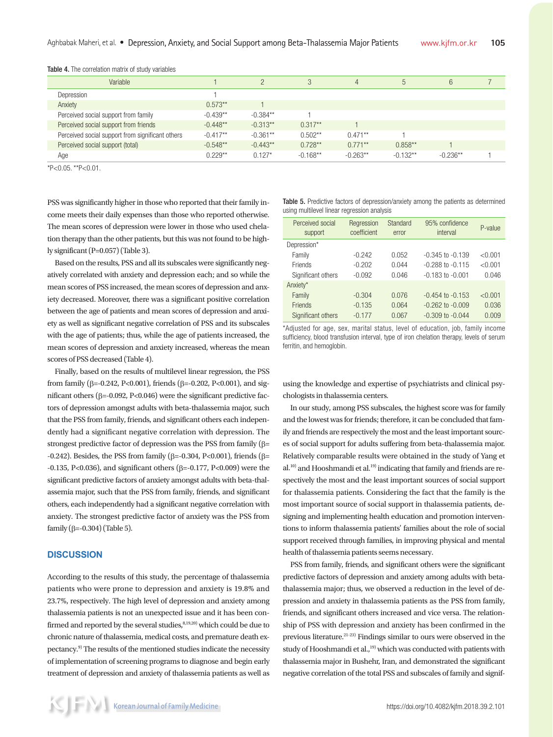| Variable                                         |            |            | 3          | 4          | 5          | 6          |  |
|--------------------------------------------------|------------|------------|------------|------------|------------|------------|--|
| Depression                                       |            |            |            |            |            |            |  |
| Anxiety                                          | $0.573**$  |            |            |            |            |            |  |
| Perceived social support from family             | $-0.439**$ | $-0.384**$ |            |            |            |            |  |
| Perceived social support from friends            | $-0.448**$ | $-0.313**$ | $0.317**$  |            |            |            |  |
| Perceived social support from significant others | $-0.417**$ | $-0.361**$ | $0.502**$  | $0.471**$  |            |            |  |
| Perceived social support (total)                 | $-0.548**$ | $-0.443**$ | $0.728**$  | $0.771**$  | $0.858**$  |            |  |
| Age                                              | $0.229**$  | $0.127*$   | $-0.168**$ | $-0.263**$ | $-0.132**$ | $-0.236**$ |  |
|                                                  |            |            |            |            |            |            |  |

Table 4. The correlation matrix of study variables

 $*P<0.05$ .  $*P<0.01$ .

PSS was significantly higher in those who reported that their family income meets their daily expenses than those who reported otherwise. The mean scores of depression were lower in those who used chelation therapy than the other patients, but this was not found to be highly significant (P=0.057) (Table 3).

Based on the results, PSS and all its subscales were significantly negatively correlated with anxiety and depression each; and so while the mean scores of PSS increased, the mean scores of depression and anxiety decreased. Moreover, there was a significant positive correlation between the age of patients and mean scores of depression and anxiety as well as significant negative correlation of PSS and its subscales with the age of patients; thus, while the age of patients increased, the mean scores of depression and anxiety increased, whereas the mean scores of PSS decreased (Table 4).

Finally, based on the results of multilevel linear regression, the PSS from family ( $\beta$ =-0.242, P<0.001), friends ( $\beta$ =-0.202, P<0.001), and significant others ( $\beta$ =-0.092, P<0.046) were the significant predictive factors of depression amongst adults with beta-thalassemia major, such that the PSS from family, friends, and significant others each independently had a significant negative correlation with depression. The strongest predictive factor of depression was the PSS from family  $(\beta=$ -0.242). Besides, the PSS from family ( $\beta$ =-0.304, P<0.001), friends ( $\beta$ =  $-0.135$ , P<0.036), and significant others ( $\beta$ = $-0.177$ , P<0.009) were the significant predictive factors of anxiety amongst adults with beta-thalassemia major, such that the PSS from family, friends, and significant others, each independently had a significant negative correlation with anxiety. The strongest predictive factor of anxiety was the PSS from family ( $\beta$ =-0.304) (Table 5).

#### **DISCUSSION**

According to the results of this study, the percentage of thalassemia patients who were prone to depression and anxiety is 19.8% and 23.7%, respectively. The high level of depression and anxiety among thalassemia patients is not an unexpected issue and it has been confirmed and reported by the several studies,  $8,19,20)$  which could be due to chronic nature of thalassemia, medical costs, and premature death expectancy.9) The results of the mentioned studies indicate the necessity of implementation of screening programs to diagnose and begin early treatment of depression and anxiety of thalassemia patients as well as

Table 5. Predictive factors of depression/anxiety among the patients as determined using multilevel linear regression analysis

| Perceived social<br>support | Regression<br>coefficient | Standard<br>error | 95% confidence<br>interval | P-value |
|-----------------------------|---------------------------|-------------------|----------------------------|---------|
| Depression*                 |                           |                   |                            |         |
| Family                      | $-0.242$                  | 0.052             | $-0.345$ to $-0.139$       | < 0.001 |
| Friends                     | $-0.202$                  | 0.044             | $-0.288$ to $-0.115$       | < 0.001 |
| Significant others          | $-0.092$                  | 0.046             | $-0.183$ to $-0.001$       | 0.046   |
| Anxiety*                    |                           |                   |                            |         |
| Family                      | $-0.304$                  | 0.076             | $-0.454$ to $-0.153$       | < 0.001 |
| <b>Friends</b>              | $-0.135$                  | 0.064             | $-0.262$ to $-0.009$       | 0.036   |
| Significant others          | $-0.177$                  | 0.067             | $-0.309$ to $-0.044$       | 0.009   |

\*Adjusted for age, sex, marital status, level of education, job, family income sufficiency, blood transfusion interval, type of iron chelation therapy, levels of serum ferritin, and hemoglobin.

using the knowledge and expertise of psychiatrists and clinical psychologists in thalassemia centers.

In our study, among PSS subscales, the highest score was for family and the lowest was for friends; therefore, it can be concluded that family and friends are respectively the most and the least important sources of social support for adults suffering from beta-thalassemia major. Relatively comparable results were obtained in the study of Yang et al.<sup>10)</sup> and Hooshmandi et al.<sup>19)</sup> indicating that family and friends are respectively the most and the least important sources of social support for thalassemia patients. Considering the fact that the family is the most important source of social support in thalassemia patients, designing and implementing health education and promotion interventions to inform thalassemia patients' families about the role of social support received through families, in improving physical and mental health of thalassemia patients seems necessary.

PSS from family, friends, and significant others were the significant predictive factors of depression and anxiety among adults with betathalassemia major; thus, we observed a reduction in the level of depression and anxiety in thalassemia patients as the PSS from family, friends, and significant others increased and vice versa. The relationship of PSS with depression and anxiety has been confirmed in the previous literature.<sup>21-23)</sup> Findings similar to ours were observed in the study of Hooshmandi et al.,<sup>19)</sup> which was conducted with patients with thalassemia major in Bushehr, Iran, and demonstrated the significant negative correlation of the total PSS and subscales of family and signif-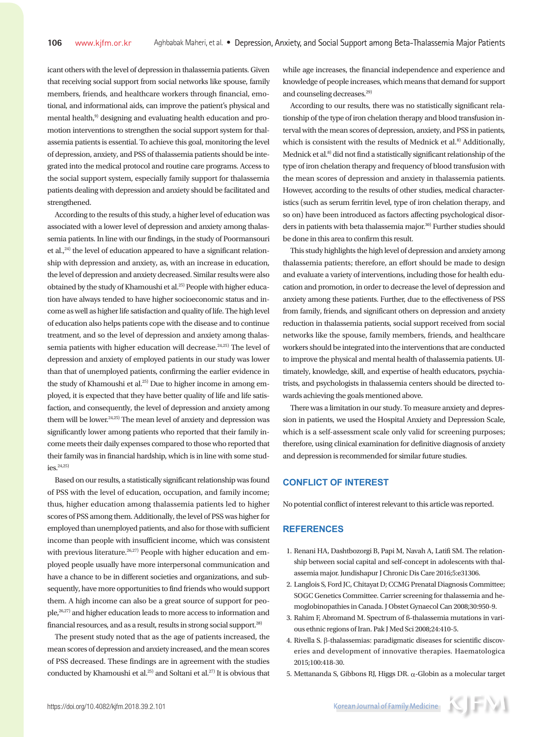icant others with the level of depression in thalassemia patients. Given that receiving social support from social networks like spouse, family members, friends, and healthcare workers through financial, emotional, and informational aids, can improve the patient's physical and mental health,<sup>9)</sup> designing and evaluating health education and promotion interventions to strengthen the social support system for thalassemia patients is essential. To achieve this goal, monitoring the level of depression, anxiety, and PSS of thalassemia patients should be integrated into the medical protocol and routine care programs. Access to the social support system, especially family support for thalassemia patients dealing with depression and anxiety should be facilitated and strengthened.

According to the results of this study, a higher level of education was associated with a lower level of depression and anxiety among thalassemia patients. In line with our findings, in the study of Poormansouri et al., $^{24)}$  the level of education appeared to have a significant relationship with depression and anxiety, as, with an increase in education, the level of depression and anxiety decreased. Similar results were also obtained by the study of Khamoushi et al.<sup>25)</sup> People with higher education have always tended to have higher socioeconomic status and income as well as higher life satisfaction and quality of life. The high level of education also helps patients cope with the disease and to continue treatment, and so the level of depression and anxiety among thalassemia patients with higher education will decrease.<sup>24,25)</sup> The level of depression and anxiety of employed patients in our study was lower than that of unemployed patients, confirming the earlier evidence in the study of Khamoushi et al.<sup>25)</sup> Due to higher income in among employed, it is expected that they have better quality of life and life satisfaction, and consequently, the level of depression and anxiety among them will be lower.<sup>24,25)</sup> The mean level of anxiety and depression was significantly lower among patients who reported that their family income meets their daily expenses compared to those who reported that their family was in financial hardship, which is in line with some stud $i$ es.<sup>24,25</sup>)

Based on our results, a statistically significant relationship was found of PSS with the level of education, occupation, and family income; thus, higher education among thalassemia patients led to higher scores of PSS among them. Additionally, the level of PSS was higher for employed than unemployed patients, and also for those with sufficient income than people with insufficient income, which was consistent with previous literature.<sup>26,27)</sup> People with higher education and employed people usually have more interpersonal communication and have a chance to be in different societies and organizations, and subsequently, have more opportunities to find friends who would support them. A high income can also be a great source of support for people,26,27) and higher education leads to more access to information and financial resources, and as a result, results in strong social support.28)

The present study noted that as the age of patients increased, the mean scores of depression and anxiety increased, and the mean scores of PSS decreased. These findings are in agreement with the studies conducted by Khamoushi et al.<sup>25)</sup> and Soltani et al.<sup>27)</sup> It is obvious that while age increases, the financial independence and experience and knowledge of people increases, which means that demand for support and counseling decreases.<sup>29)</sup>

According to our results, there was no statistically significant relationship of the type of iron chelation therapy and blood transfusion interval with the mean scores of depression, anxiety, and PSS in patients, which is consistent with the results of Mednick et al. $8$ <sup>3</sup> Additionally, Mednick et al.<sup>8)</sup> did not find a statistically significant relationship of the type of iron chelation therapy and frequency of blood transfusion with the mean scores of depression and anxiety in thalassemia patients. However, according to the results of other studies, medical characteristics (such as serum ferritin level, type of iron chelation therapy, and so on) have been introduced as factors affecting psychological disorders in patients with beta thalassemia major.<sup>30)</sup> Further studies should be done in this area to confirm this result.

This study highlights the high level of depression and anxiety among thalassemia patients; therefore, an effort should be made to design and evaluate a variety of interventions, including those for health education and promotion, in order to decrease the level of depression and anxiety among these patients. Further, due to the effectiveness of PSS from family, friends, and significant others on depression and anxiety reduction in thalassemia patients, social support received from social networks like the spouse, family members, friends, and healthcare workers should be integrated into the interventions that are conducted to improve the physical and mental health of thalassemia patients. Ultimately, knowledge, skill, and expertise of health educators, psychiatrists, and psychologists in thalassemia centers should be directed towards achieving the goals mentioned above.

There was a limitation in our study. To measure anxiety and depression in patients, we used the Hospital Anxiety and Depression Scale, which is a self-assessment scale only valid for screening purposes; therefore, using clinical examination for definitive diagnosis of anxiety and depression is recommended for similar future studies.

## **CONFLICT OF INTEREST**

No potential conflict of interest relevant to this article was reported.

## **REFERENCES**

- 1. Renani HA, Dashtbozorgi B, Papi M, Navah A, Latifi SM. The relationship between social capital and self-concept in adolescents with thalassemia major. Jundishapur J Chronic Dis Care 2016;5:e31306.
- 2. Langlois S, Ford JC, Chitayat D; CCMG Prenatal Diagnosis Committee; SOGC Genetics Committee. Carrier screening for thalassemia and hemoglobinopathies in Canada. J Obstet Gynaecol Can 2008;30:950-9.
- 3. Rahim F, Abromand M. Spectrum of ß-thalassemia mutations in various ethnic regions of Iran. Pak J Med Sci 2008;24:410-5.
- 4. Rivella S.  $\beta$ -thalassemias: paradigmatic diseases for scientific discoveries and development of innovative therapies. Haematologica 2015;100:418-30.
- 5. Mettananda S, Gibbons RJ, Higgs DR. a-Globin as a molecular target